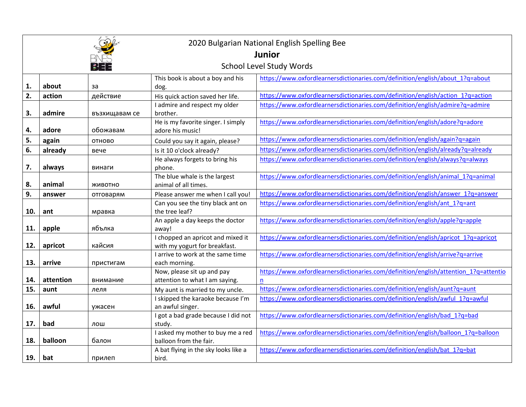|     | 2020 Bulgarian National English Spelling Bee |               |                                                                    |                                                                                           |  |
|-----|----------------------------------------------|---------------|--------------------------------------------------------------------|-------------------------------------------------------------------------------------------|--|
|     | <b>Junior</b>                                |               |                                                                    |                                                                                           |  |
|     | School Level Study Words                     |               |                                                                    |                                                                                           |  |
|     |                                              |               | This book is about a boy and his                                   | https://www.oxfordlearnersdictionaries.com/definition/english/about 1?q=about             |  |
| 1.  | about                                        | за            | dog.                                                               |                                                                                           |  |
| 2.  | action                                       | действие      | His quick action saved her life.                                   | https://www.oxfordlearnersdictionaries.com/definition/english/action 1?q=action           |  |
| 3.  | admire                                       | възхищавам се | I admire and respect my older<br>brother.                          | https://www.oxfordlearnersdictionaries.com/definition/english/admire?q=admire             |  |
| 4.  | adore                                        | обожавам      | He is my favorite singer. I simply<br>adore his music!             | https://www.oxfordlearnersdictionaries.com/definition/english/adore?q=adore               |  |
| 5.  | again                                        | ОТНОВО        | Could you say it again, please?                                    | https://www.oxfordlearnersdictionaries.com/definition/english/again?q=again               |  |
| 6.  | already                                      | вече          | Is it 10 o'clock already?                                          | https://www.oxfordlearnersdictionaries.com/definition/english/already?q=already           |  |
| 7.  | always                                       | винаги        | He always forgets to bring his<br>phone.                           | https://www.oxfordlearnersdictionaries.com/definition/english/always?q=always             |  |
| 8.  | animal                                       | ЖИВОТНО       | The blue whale is the largest<br>animal of all times.              | https://www.oxfordlearnersdictionaries.com/definition/english/animal 1?q=animal           |  |
| 9.  | answer                                       | отговарям     | Please answer me when I call you!                                  | https://www.oxfordlearnersdictionaries.com/definition/english/answer 1?q=answer           |  |
| 10. | ant                                          | мравка        | Can you see the tiny black ant on<br>the tree leaf?                | https://www.oxfordlearnersdictionaries.com/definition/english/ant 1?q=ant                 |  |
| 11. | apple                                        | ябълка        | An apple a day keeps the doctor<br>away!                           | https://www.oxfordlearnersdictionaries.com/definition/english/apple?q=apple               |  |
| 12. | apricot                                      | кайсия        | I chopped an apricot and mixed it<br>with my yogurt for breakfast. | https://www.oxfordlearnersdictionaries.com/definition/english/apricot 1?q=apricot         |  |
| 13. | arrive                                       | пристигам     | I arrive to work at the same time<br>each morning.                 | https://www.oxfordlearnersdictionaries.com/definition/english/arrive?q=arrive             |  |
| 14. | attention                                    | внимание      | Now, please sit up and pay<br>attention to what I am saying.       | https://www.oxfordlearnersdictionaries.com/definition/english/attention 1?q=attentio<br>n |  |
| 15. | aunt                                         | леля          | My aunt is married to my uncle.                                    | https://www.oxfordlearnersdictionaries.com/definition/english/aunt?q=aunt                 |  |
| 16. | awful                                        | ужасен        | I skipped the karaoke because I'm<br>an awful singer.              | https://www.oxfordlearnersdictionaries.com/definition/english/awful 1?q=awful             |  |
| 17. | bad                                          | лош           | I got a bad grade because I did not<br>study.                      | https://www.oxfordlearnersdictionaries.com/definition/english/bad 1?q=bad                 |  |
| 18. | balloon                                      | балон         | I asked my mother to buy me a red<br>balloon from the fair.        | https://www.oxfordlearnersdictionaries.com/definition/english/balloon 1?q=balloon         |  |
| 19. | bat                                          | прилеп        | A bat flying in the sky looks like a<br>bird.                      | https://www.oxfordlearnersdictionaries.com/definition/english/bat 1?q=bat                 |  |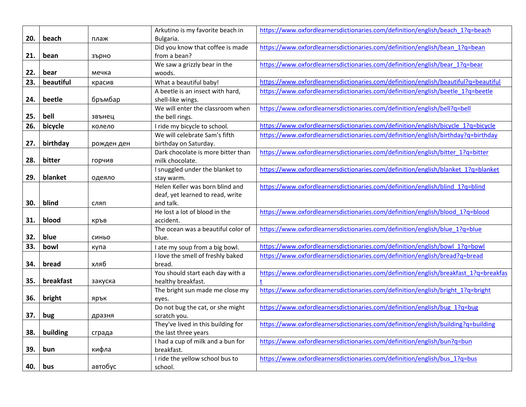|     |           |            | Arkutino is my favorite beach in   | https://www.oxfordlearnersdictionaries.com/definition/english/beach 1?q=beach        |
|-----|-----------|------------|------------------------------------|--------------------------------------------------------------------------------------|
| 20. | beach     | плаж       | Bulgaria.                          |                                                                                      |
|     |           |            | Did you know that coffee is made   | https://www.oxfordlearnersdictionaries.com/definition/english/bean 1?q=bean          |
| 21. | bean      | зърно      | from a bean?                       |                                                                                      |
|     |           |            | We saw a grizzly bear in the       | https://www.oxfordlearnersdictionaries.com/definition/english/bear 1?q=bear          |
| 22. | bear      | мечка      | woods.                             |                                                                                      |
| 23. | beautiful | красив     | What a beautiful baby!             | https://www.oxfordlearnersdictionaries.com/definition/english/beautiful?q=beautiful  |
|     |           |            | A beetle is an insect with hard,   | https://www.oxfordlearnersdictionaries.com/definition/english/beetle 1?q=beetle      |
| 24. | beetle    | бръмбар    | shell-like wings.                  |                                                                                      |
|     |           |            | We will enter the classroom when   | https://www.oxfordlearnersdictionaries.com/definition/english/bell?q=bell            |
| 25. | bell      | звънец     | the bell rings.                    |                                                                                      |
| 26. | bicycle   | колело     | I ride my bicycle to school.       | https://www.oxfordlearnersdictionaries.com/definition/english/bicycle 1?q=bicycle    |
|     |           |            | We will celebrate Sam's fifth      | https://www.oxfordlearnersdictionaries.com/definition/english/birthday?q=birthday    |
| 27. | birthday  | рожден ден | birthday on Saturday.              |                                                                                      |
|     |           |            | Dark chocolate is more bitter than | https://www.oxfordlearnersdictionaries.com/definition/english/bitter_1?q=bitter      |
| 28. | bitter    | горчив     | milk chocolate.                    |                                                                                      |
|     |           |            | I snuggled under the blanket to    | https://www.oxfordlearnersdictionaries.com/definition/english/blanket 1?q=blanket    |
| 29. | blanket   | одеяло     | stay warm.                         |                                                                                      |
|     |           |            | Helen Keller was born blind and    | https://www.oxfordlearnersdictionaries.com/definition/english/blind 1?q=blind        |
|     |           |            | deaf, yet learned to read, write   |                                                                                      |
| 30. | blind     | сляп       | and talk.                          |                                                                                      |
|     |           |            | He lost a lot of blood in the      | https://www.oxfordlearnersdictionaries.com/definition/english/blood 1?q=blood        |
| 31. | blood     | кръв       | accident.                          |                                                                                      |
|     |           |            | The ocean was a beautiful color of | https://www.oxfordlearnersdictionaries.com/definition/english/blue_1?q=blue          |
| 32. | blue      | СИНЬО      | blue.                              |                                                                                      |
| 33. | bowl      | купа       | I ate my soup from a big bowl.     | https://www.oxfordlearnersdictionaries.com/definition/english/bowl 1?q=bowl          |
|     |           |            | I love the smell of freshly baked  | https://www.oxfordlearnersdictionaries.com/definition/english/bread?q=bread          |
| 34. | bread     | хляб       | bread.                             |                                                                                      |
|     |           |            | You should start each day with a   | https://www.oxfordlearnersdictionaries.com/definition/english/breakfast 1?q=breakfas |
| 35. | breakfast | закуска    | healthy breakfast.                 |                                                                                      |
|     |           |            | The bright sun made me close my    | https://www.oxfordlearnersdictionaries.com/definition/english/bright 1?q=bright      |
| 36. | bright    | ярък       | eves.                              |                                                                                      |
|     |           |            | Do not bug the cat, or she might   | https://www.oxfordlearnersdictionaries.com/definition/english/bug 1?q=bug            |
| 37. | bug       | дразня     | scratch you.                       |                                                                                      |
|     |           |            | They've lived in this building for | https://www.oxfordlearnersdictionaries.com/definition/english/building?q=building    |
| 38. | building  | сграда     | the last three years               |                                                                                      |
|     |           |            | I had a cup of milk and a bun for  | https://www.oxfordlearnersdictionaries.com/definition/english/bun?q=bun              |
| 39. | bun       | кифла      | breakfast.                         |                                                                                      |
|     |           |            | I ride the yellow school bus to    | https://www.oxfordlearnersdictionaries.com/definition/english/bus 1?q=bus            |
| 40. | bus       | автобус    | school.                            |                                                                                      |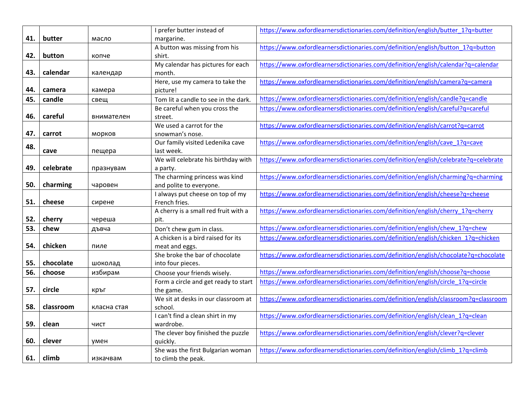|     |           |             | I prefer butter instead of           | https://www.oxfordlearnersdictionaries.com/definition/english/butter 1?q=butter     |
|-----|-----------|-------------|--------------------------------------|-------------------------------------------------------------------------------------|
| 41. | butter    | масло       | margarine.                           |                                                                                     |
|     |           |             | A button was missing from his        | https://www.oxfordlearnersdictionaries.com/definition/english/button 1?q=button     |
| 42. | button    | копче       | shirt.                               |                                                                                     |
|     |           |             | My calendar has pictures for each    | https://www.oxfordlearnersdictionaries.com/definition/english/calendar?q=calendar   |
| 43. | calendar  | календар    | month.                               |                                                                                     |
|     |           |             | Here, use my camera to take the      | https://www.oxfordlearnersdictionaries.com/definition/english/camera?q=camera       |
| 44. | camera    | камера      | picture!                             |                                                                                     |
| 45. | candle    | свещ        | Tom lit a candle to see in the dark. | https://www.oxfordlearnersdictionaries.com/definition/english/candle?q=candle       |
|     |           |             | Be careful when you cross the        | https://www.oxfordlearnersdictionaries.com/definition/english/careful?q=careful     |
| 46. | careful   | внимателен  | street.                              |                                                                                     |
|     |           |             | We used a carrot for the             | https://www.oxfordlearnersdictionaries.com/definition/english/carrot?q=carrot       |
| 47. | carrot    | морков      | snowman's nose.                      |                                                                                     |
| 48. |           |             | Our family visited Ledenika cave     | https://www.oxfordlearnersdictionaries.com/definition/english/cave_1?q=cave         |
|     | cave      | пещера      | last week.                           |                                                                                     |
|     |           |             | We will celebrate his birthday with  | https://www.oxfordlearnersdictionaries.com/definition/english/celebrate?q=celebrate |
| 49. | celebrate | празнувам   | a party.                             |                                                                                     |
|     |           |             | The charming princess was kind       | https://www.oxfordlearnersdictionaries.com/definition/english/charming?q=charming   |
| 50. | charming  | чаровен     | and polite to everyone.              |                                                                                     |
|     |           |             | I always put cheese on top of my     | https://www.oxfordlearnersdictionaries.com/definition/english/cheese?q=cheese       |
| 51. | cheese    | сирене      | French fries.                        |                                                                                     |
|     |           |             | A cherry is a small red fruit with a | https://www.oxfordlearnersdictionaries.com/definition/english/cherry 1?q=cherry     |
| 52. | cherry    | череша      | pit.                                 |                                                                                     |
| 53. | chew      | дъвча       | Don't chew gum in class.             | https://www.oxfordlearnersdictionaries.com/definition/english/chew 1?q=chew         |
|     |           |             | A chicken is a bird raised for its   | https://www.oxfordlearnersdictionaries.com/definition/english/chicken_1?q=chicken   |
| 54. | chicken   | пиле        | meat and eggs.                       |                                                                                     |
|     |           |             | She broke the bar of chocolate       | https://www.oxfordlearnersdictionaries.com/definition/english/chocolate?q=chocolate |
| 55. | chocolate | шоколад     | into four pieces.                    |                                                                                     |
| 56. | choose    | избирам     | Choose your friends wisely.          | https://www.oxfordlearnersdictionaries.com/definition/english/choose?q=choose       |
|     |           |             | Form a circle and get ready to start | https://www.oxfordlearnersdictionaries.com/definition/english/circle 1?q=circle     |
| 57. | circle    | кръг        | the game.                            |                                                                                     |
|     |           |             | We sit at desks in our classroom at  | https://www.oxfordlearnersdictionaries.com/definition/english/classroom?q=classroom |
| 58. | classroom | класна стая | school.                              |                                                                                     |
|     |           |             | I can't find a clean shirt in my     | https://www.oxfordlearnersdictionaries.com/definition/english/clean 1?q=clean       |
| 59. | clean     | чист        | wardrobe.                            |                                                                                     |
|     |           |             | The clever boy finished the puzzle   | https://www.oxfordlearnersdictionaries.com/definition/english/clever?q=clever       |
| 60. | clever    | умен        | quickly.                             |                                                                                     |
|     |           |             | She was the first Bulgarian woman    | https://www.oxfordlearnersdictionaries.com/definition/english/climb 1?q=climb       |
| 61. | climb     | изкачвам    | to climb the peak.                   |                                                                                     |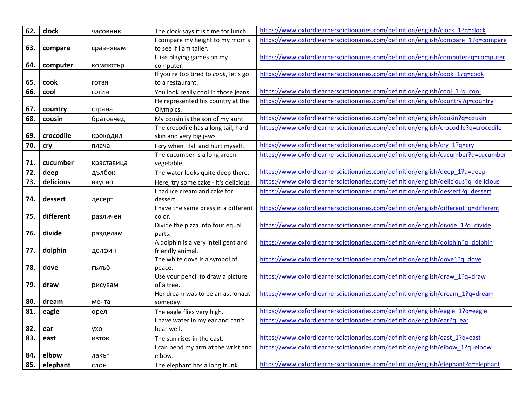| 62. | clock     | часовник     | The clock says it is time for lunch.  | https://www.oxfordlearnersdictionaries.com/definition/english/clock 1?q=clock       |
|-----|-----------|--------------|---------------------------------------|-------------------------------------------------------------------------------------|
|     |           |              | I compare my height to my mom's       | https://www.oxfordlearnersdictionaries.com/definition/english/compare 1?q=compare   |
| 63. | compare   | сравнявам    | to see if I am taller.                |                                                                                     |
|     |           |              | I like playing games on my            | https://www.oxfordlearnersdictionaries.com/definition/english/computer?q=computer   |
| 64. | computer  | компютър     | computer.                             |                                                                                     |
|     |           |              | If you're too tired to cook, let's go | https://www.oxfordlearnersdictionaries.com/definition/english/cook 1?q=cook         |
| 65. | cook      | ГОТВЯ        | to a restaurant.                      |                                                                                     |
| 66. | cool      | <b>ГОТИН</b> | You look really cool in those jeans.  | https://www.oxfordlearnersdictionaries.com/definition/english/cool 1?q=cool         |
|     |           |              | He represented his country at the     | https://www.oxfordlearnersdictionaries.com/definition/english/country?q=country     |
| 67. | country   | страна       | Olympics.                             |                                                                                     |
| 68. | cousin    | братовчед    | My cousin is the son of my aunt.      | https://www.oxfordlearnersdictionaries.com/definition/english/cousin?q=cousin       |
|     |           |              | The crocodile has a long tail, hard   | https://www.oxfordlearnersdictionaries.com/definition/english/crocodile?q=crocodile |
| 69. | crocodile | крокодил     | skin and very big jaws.               |                                                                                     |
| 70. | cry       | плача        | I cry when I fall and hurt myself.    | https://www.oxfordlearnersdictionaries.com/definition/english/cry 1?q=cry           |
|     |           |              | The cucumber is a long green          | https://www.oxfordlearnersdictionaries.com/definition/english/cucumber?q=cucumber   |
| 71. | cucumber  | краставица   | vegetable.                            |                                                                                     |
| 72. | deep      | дълбок       | The water looks quite deep there.     | https://www.oxfordlearnersdictionaries.com/definition/english/deep 1?q=deep         |
| 73. | delicious | ВКУСНО       | Here, try some cake - it's delicious! | https://www.oxfordlearnersdictionaries.com/definition/english/delicious?q=delicious |
|     |           |              | I had ice cream and cake for          | https://www.oxfordlearnersdictionaries.com/definition/english/dessert?q=dessert     |
| 74. | dessert   | десерт       | dessert.                              |                                                                                     |
|     |           |              | I have the same dress in a different  | https://www.oxfordlearnersdictionaries.com/definition/english/different?q=different |
| 75. | different | различен     | color.                                |                                                                                     |
|     |           |              | Divide the pizza into four equal      | https://www.oxfordlearnersdictionaries.com/definition/english/divide 1?q=divide     |
| 76. | divide    | разделям     | parts.                                |                                                                                     |
|     |           |              | A dolphin is a very intelligent and   | https://www.oxfordlearnersdictionaries.com/definition/english/dolphin?q=dolphin     |
| 77. | dolphin   | делфин       | friendly animal.                      |                                                                                     |
|     |           |              | The white dove is a symbol of         | https://www.oxfordlearnersdictionaries.com/definition/english/dove1?q=dove          |
| 78. | dove      | гълъб        | peace.                                |                                                                                     |
|     |           |              | Use your pencil to draw a picture     | https://www.oxfordlearnersdictionaries.com/definition/english/draw 1?q=draw         |
| 79. | draw      | рисувам      | of a tree.                            |                                                                                     |
| 80. | dream     |              | Her dream was to be an astronaut      | https://www.oxfordlearnersdictionaries.com/definition/english/dream 1?q=dream       |
|     |           | мечта        | someday.                              | https://www.oxfordlearnersdictionaries.com/definition/english/eagle 1?q=eagle       |
| 81. | eagle     | орел         | The eagle flies very high.            |                                                                                     |
|     |           |              | I have water in my ear and can't      | https://www.oxfordlearnersdictionaries.com/definition/english/ear?q=ear             |
| 82. | ear       | yxo          | hear well.                            | https://www.oxfordlearnersdictionaries.com/definition/english/east 1?q=east         |
| 83. | east      | изток        | The sun rises in the east.            |                                                                                     |
|     |           |              | I can bend my arm at the wrist and    | https://www.oxfordlearnersdictionaries.com/definition/english/elbow 1?q=elbow       |
| 84. | elbow     | лакът        | elbow.                                |                                                                                     |
| 85. | elephant  | слон         | The elephant has a long trunk.        | https://www.oxfordlearnersdictionaries.com/definition/english/elephant?q=elephant   |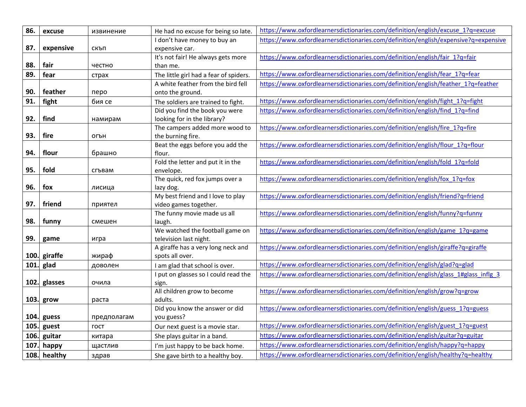| 86.  | excuse       | извинение   | He had no excuse for being so late.            | https://www.oxfordlearnersdictionaries.com/definition/english/excuse 1?q=excuse     |
|------|--------------|-------------|------------------------------------------------|-------------------------------------------------------------------------------------|
|      |              |             | I don't have money to buy an                   | https://www.oxfordlearnersdictionaries.com/definition/english/expensive?q=expensive |
| 87.  | expensive    | СКЪП        | expensive car.                                 |                                                                                     |
|      |              |             | It's not fair! He always gets more             | https://www.oxfordlearnersdictionaries.com/definition/english/fair 1?q=fair         |
| 88.  | fair         | честно      | than me.                                       |                                                                                     |
| 89.  | fear         | страх       | The little girl had a fear of spiders.         | https://www.oxfordlearnersdictionaries.com/definition/english/fear 1?q=fear         |
|      |              |             | A white feather from the bird fell             | https://www.oxfordlearnersdictionaries.com/definition/english/feather 1?q=feather   |
| 90.  | feather      | перо        | onto the ground.                               |                                                                                     |
| 91.  | fight        | бия се      | The soldiers are trained to fight.             | https://www.oxfordlearnersdictionaries.com/definition/english/fight 1?q=fight       |
|      |              |             | Did you find the book you were                 | https://www.oxfordlearnersdictionaries.com/definition/english/find 1?q=find         |
| 92.  | find         | намирам     | looking for in the library?                    |                                                                                     |
|      |              |             | The campers added more wood to                 | https://www.oxfordlearnersdictionaries.com/definition/english/fire_1?q=fire         |
| 93.  | fire         | ОГЪН        | the burning fire.                              |                                                                                     |
|      |              |             | Beat the eggs before you add the               | https://www.oxfordlearnersdictionaries.com/definition/english/flour 1?q=flour       |
| 94.  | flour        | брашно      | flour.                                         |                                                                                     |
|      |              |             | Fold the letter and put it in the              | https://www.oxfordlearnersdictionaries.com/definition/english/fold 1?q=fold         |
| 95.  | fold         | сгъвам      | envelope.                                      |                                                                                     |
| 96.  | fox          |             | The quick, red fox jumps over a                | https://www.oxfordlearnersdictionaries.com/definition/english/fox 1?q=fox           |
|      |              | лисица      | lazy dog.<br>My best friend and I love to play | https://www.oxfordlearnersdictionaries.com/definition/english/friend?q=friend       |
| 97.  | friend       | приятел     | video games together.                          |                                                                                     |
|      |              |             | The funny movie made us all                    | https://www.oxfordlearnersdictionaries.com/definition/english/funny?q=funny         |
| 98.  | funny        | смешен      | laugh.                                         |                                                                                     |
|      |              |             | We watched the football game on                | https://www.oxfordlearnersdictionaries.com/definition/english/game 1?q=game         |
| 99.  | game         | игра        | television last night.                         |                                                                                     |
|      |              |             | A giraffe has a very long neck and             | https://www.oxfordlearnersdictionaries.com/definition/english/giraffe?q=giraffe     |
|      | 100. giraffe | жираф       | spots all over.                                |                                                                                     |
| 101. | glad         | доволен     | I am glad that school is over.                 | https://www.oxfordlearnersdictionaries.com/definition/english/glad?q=glad           |
|      |              |             | I put on glasses so I could read the           | https://www.oxfordlearnersdictionaries.com/definition/english/glass 1#glass inflg 3 |
|      | 102. glasses | очила       | sign.                                          |                                                                                     |
|      |              |             | All children grow to become                    | https://www.oxfordlearnersdictionaries.com/definition/english/grow?q=grow           |
|      | 103. grow    | раста       | adults.                                        |                                                                                     |
|      |              |             | Did you know the answer or did                 | https://www.oxfordlearnersdictionaries.com/definition/english/guess 1?q=guess       |
| 104. | guess        | предполагам | you guess?                                     |                                                                                     |
| 105. | guest        | <b>TOCT</b> | Our next guest is a movie star.                | https://www.oxfordlearnersdictionaries.com/definition/english/guest 1?q=guest       |
| 106. | guitar       | китара      | She plays guitar in a band.                    | https://www.oxfordlearnersdictionaries.com/definition/english/guitar?q=guitar       |
| 107. | happy        | щастлив     | I'm just happy to be back home.                | https://www.oxfordlearnersdictionaries.com/definition/english/happy?q=happy         |
|      | 108. healthy | здрав       | She gave birth to a healthy boy.               | https://www.oxfordlearnersdictionaries.com/definition/english/healthy?q=healthy     |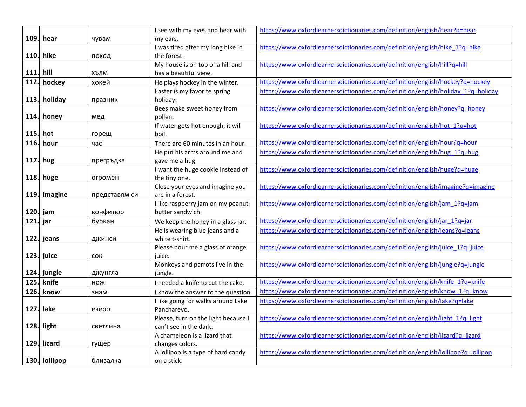|              |                                               |                                        | I see with my eyes and hear with                                                                                                                                                     | https://www.oxfordlearnersdictionaries.com/definition/english/hear?q=hear                                                                                                                                                                           |
|--------------|-----------------------------------------------|----------------------------------------|--------------------------------------------------------------------------------------------------------------------------------------------------------------------------------------|-----------------------------------------------------------------------------------------------------------------------------------------------------------------------------------------------------------------------------------------------------|
| 109.         | hear                                          | чувам                                  | my ears.                                                                                                                                                                             |                                                                                                                                                                                                                                                     |
|              |                                               |                                        | I was tired after my long hike in                                                                                                                                                    | https://www.oxfordlearnersdictionaries.com/definition/english/hike 1?q=hike                                                                                                                                                                         |
| 110.         | hike                                          | поход                                  | the forest.                                                                                                                                                                          |                                                                                                                                                                                                                                                     |
|              |                                               |                                        | My house is on top of a hill and                                                                                                                                                     | https://www.oxfordlearnersdictionaries.com/definition/english/hill?q=hill                                                                                                                                                                           |
| 111.         | hill                                          | ХЪЛМ                                   | has a beautiful view.                                                                                                                                                                |                                                                                                                                                                                                                                                     |
| 112.         | hockey                                        | хокей                                  | He plays hockey in the winter.                                                                                                                                                       | https://www.oxfordlearnersdictionaries.com/definition/english/hockey?q=hockey                                                                                                                                                                       |
|              |                                               |                                        | Easter is my favorite spring                                                                                                                                                         | https://www.oxfordlearnersdictionaries.com/definition/english/holiday 1?q=holiday                                                                                                                                                                   |
| 113.         | holiday                                       | празник                                | holiday.                                                                                                                                                                             |                                                                                                                                                                                                                                                     |
|              |                                               |                                        | Bees make sweet honey from                                                                                                                                                           | https://www.oxfordlearnersdictionaries.com/definition/english/honey?q=honey                                                                                                                                                                         |
| 114.         | honey                                         | мед                                    | pollen.                                                                                                                                                                              |                                                                                                                                                                                                                                                     |
|              |                                               |                                        | If water gets hot enough, it will                                                                                                                                                    | https://www.oxfordlearnersdictionaries.com/definition/english/hot 1?q=hot                                                                                                                                                                           |
| 115. hot     |                                               | горещ                                  | boil.                                                                                                                                                                                |                                                                                                                                                                                                                                                     |
| 116.         | hour                                          | час                                    | There are 60 minutes in an hour.                                                                                                                                                     | https://www.oxfordlearnersdictionaries.com/definition/english/hour?q=hour                                                                                                                                                                           |
|              |                                               |                                        | He put his arms around me and                                                                                                                                                        | https://www.oxfordlearnersdictionaries.com/definition/english/hug 1?q=hug                                                                                                                                                                           |
| 117.         | hug                                           | прегръдка                              | gave me a hug.                                                                                                                                                                       |                                                                                                                                                                                                                                                     |
|              |                                               |                                        | I want the huge cookie instead of                                                                                                                                                    | https://www.oxfordlearnersdictionaries.com/definition/english/huge?q=huge                                                                                                                                                                           |
|              | 118. huge                                     | огромен                                | the tiny one.                                                                                                                                                                        |                                                                                                                                                                                                                                                     |
|              |                                               |                                        | Close your eyes and imagine you                                                                                                                                                      | https://www.oxfordlearnersdictionaries.com/definition/english/imagine?q=imagine                                                                                                                                                                     |
|              | 119. imagine                                  | представям си                          | are in a forest.                                                                                                                                                                     |                                                                                                                                                                                                                                                     |
|              |                                               |                                        | I like raspberry jam on my peanut                                                                                                                                                    | https://www.oxfordlearnersdictionaries.com/definition/english/jam 1?q=jam                                                                                                                                                                           |
| 120.         | jam                                           | конфитюр                               | butter sandwich.                                                                                                                                                                     |                                                                                                                                                                                                                                                     |
| 121.         | jar                                           | буркан                                 | We keep the honey in a glass jar.                                                                                                                                                    | https://www.oxfordlearnersdictionaries.com/definition/english/jar 1?q=jar                                                                                                                                                                           |
|              |                                               |                                        | He is wearing blue jeans and a                                                                                                                                                       | https://www.oxfordlearnersdictionaries.com/definition/english/jeans?q=jeans                                                                                                                                                                         |
| 122.         | jeans                                         | джинси                                 | white t-shirt.                                                                                                                                                                       |                                                                                                                                                                                                                                                     |
|              |                                               |                                        | Please pour me a glass of orange                                                                                                                                                     | https://www.oxfordlearnersdictionaries.com/definition/english/juice 1?q=juice                                                                                                                                                                       |
| 123.         | juice                                         | <b>COK</b>                             | juice.<br>Monkeys and parrots live in the                                                                                                                                            | https://www.oxfordlearnersdictionaries.com/definition/english/jungle?q=jungle                                                                                                                                                                       |
|              | 124. jungle                                   | джунгла                                | jungle.                                                                                                                                                                              |                                                                                                                                                                                                                                                     |
| 125.         | knife                                         |                                        |                                                                                                                                                                                      | https://www.oxfordlearnersdictionaries.com/definition/english/knife 1?q=knife                                                                                                                                                                       |
|              |                                               | <b>HO</b> <sup>H</sup>                 | I needed a knife to cut the cake.                                                                                                                                                    | https://www.oxfordlearnersdictionaries.com/definition/english/know 1?q=know                                                                                                                                                                         |
| 126.         | know                                          | знам                                   | I know the answer to the question.                                                                                                                                                   |                                                                                                                                                                                                                                                     |
|              |                                               |                                        | I like going for walks around Lake                                                                                                                                                   | https://www.oxfordlearnersdictionaries.com/definition/english/lake?q=lake                                                                                                                                                                           |
|              |                                               |                                        |                                                                                                                                                                                      |                                                                                                                                                                                                                                                     |
|              |                                               |                                        |                                                                                                                                                                                      |                                                                                                                                                                                                                                                     |
|              |                                               |                                        |                                                                                                                                                                                      |                                                                                                                                                                                                                                                     |
|              |                                               |                                        |                                                                                                                                                                                      |                                                                                                                                                                                                                                                     |
|              |                                               |                                        |                                                                                                                                                                                      |                                                                                                                                                                                                                                                     |
|              |                                               |                                        |                                                                                                                                                                                      |                                                                                                                                                                                                                                                     |
| 127.<br>129. | lake<br>128. light<br>lizard<br>130. lollipop | езеро<br>светлина<br>гущер<br>близалка | Pancharevo.<br>Please, turn on the light because I<br>can't see in the dark.<br>A chameleon is a lizard that<br>changes colors.<br>A lollipop is a type of hard candy<br>on a stick. | https://www.oxfordlearnersdictionaries.com/definition/english/light 1?q=light<br>https://www.oxfordlearnersdictionaries.com/definition/english/lizard?q=lizard<br>https://www.oxfordlearnersdictionaries.com/definition/english/lollipop?q=lollipop |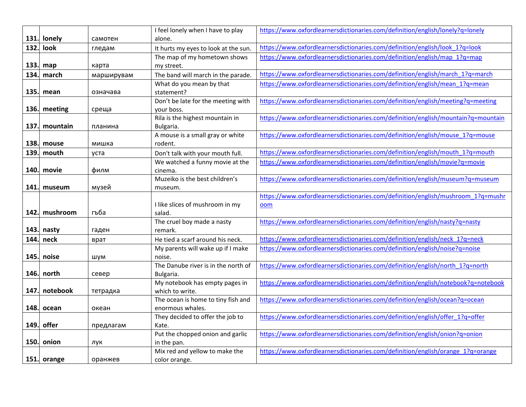|             |              |            | I feel lonely when I have to play         | https://www.oxfordlearnersdictionaries.com/definition/english/lonely?q=lonely     |
|-------------|--------------|------------|-------------------------------------------|-----------------------------------------------------------------------------------|
| 131.        | lonely       | самотен    | alone.                                    |                                                                                   |
| 132.        | look         | гледам     | It hurts my eyes to look at the sun.      | https://www.oxfordlearnersdictionaries.com/definition/english/look 1?q=look       |
|             |              |            | The map of my hometown shows              | https://www.oxfordlearnersdictionaries.com/definition/english/map 1?q=map         |
| 133.        | map          | карта      | my street.                                |                                                                                   |
| 134.        | march        | марширувам | The band will march in the parade.        | https://www.oxfordlearnersdictionaries.com/definition/english/march_1?q=march     |
|             |              |            | What do you mean by that                  | https://www.oxfordlearnersdictionaries.com/definition/english/mean 1?q=mean       |
| 135.        | mean         | означава   | statement?                                |                                                                                   |
|             |              |            | Don't be late for the meeting with        | https://www.oxfordlearnersdictionaries.com/definition/english/meeting?q=meeting   |
|             | 136. meeting | среща      | your boss.                                |                                                                                   |
|             |              |            | Rila is the highest mountain in           | https://www.oxfordlearnersdictionaries.com/definition/english/mountain?q=mountain |
| 137.        | mountain     | планина    | Bulgaria.                                 |                                                                                   |
|             |              |            | A mouse is a small gray or white          | https://www.oxfordlearnersdictionaries.com/definition/english/mouse 1?q=mouse     |
| 138.        | mouse        | мишка      | rodent.                                   |                                                                                   |
| <b>139.</b> | mouth        | уста       | Don't talk with your mouth full.          | https://www.oxfordlearnersdictionaries.com/definition/english/mouth 1?q=mouth     |
|             |              |            | We watched a funny movie at the           | https://www.oxfordlearnersdictionaries.com/definition/english/movie?q=movie       |
| 140.        | movie        | Филм       | cinema.<br>Muzeiko is the best children's |                                                                                   |
| 141.        |              | музей      |                                           | https://www.oxfordlearnersdictionaries.com/definition/english/museum?q=museum     |
|             | museum       |            | museum.                                   | https://www.oxfordlearnersdictionaries.com/definition/english/mushroom_1?q=mushr  |
|             |              |            | I like slices of mushroom in my           | oom                                                                               |
| 142.        | mushroom     | гъба       | salad.                                    |                                                                                   |
|             |              |            | The cruel boy made a nasty                | https://www.oxfordlearnersdictionaries.com/definition/english/nasty?q=nasty       |
|             | 143. nasty   | гаден      | remark.                                   |                                                                                   |
| 144.        | neck         | врат       | He tied a scarf around his neck.          | https://www.oxfordlearnersdictionaries.com/definition/english/neck 1?q=neck       |
|             |              |            | My parents will wake up if I make         | https://www.oxfordlearnersdictionaries.com/definition/english/noise?q=noise       |
| 145.        | noise        | шум        | noise.                                    |                                                                                   |
|             |              |            | The Danube river is in the north of       | https://www.oxfordlearnersdictionaries.com/definition/english/north 1?q=north     |
|             | 146. north   | север      | Bulgaria.                                 |                                                                                   |
|             |              |            | My notebook has empty pages in            | https://www.oxfordlearnersdictionaries.com/definition/english/notebook?q=notebook |
| 147.        | notebook     | тетрадка   | which to write.                           |                                                                                   |
|             |              |            | The ocean is home to tiny fish and        | https://www.oxfordlearnersdictionaries.com/definition/english/ocean?q=ocean       |
| 148.        | ocean        | океан      | enormous whales.                          |                                                                                   |
|             |              |            | They decided to offer the job to          | https://www.oxfordlearnersdictionaries.com/definition/english/offer 1?q=offer     |
| 149.        | offer        | предлагам  | Kate.                                     |                                                                                   |
|             |              |            | Put the chopped onion and garlic          | https://www.oxfordlearnersdictionaries.com/definition/english/onion?q=onion       |
| 150.        | onion        | лук        | in the pan.                               |                                                                                   |
|             |              |            | Mix red and yellow to make the            | https://www.oxfordlearnersdictionaries.com/definition/english/orange 1?q=orange   |
|             | 151. orange  | оранжев    | color orange.                             |                                                                                   |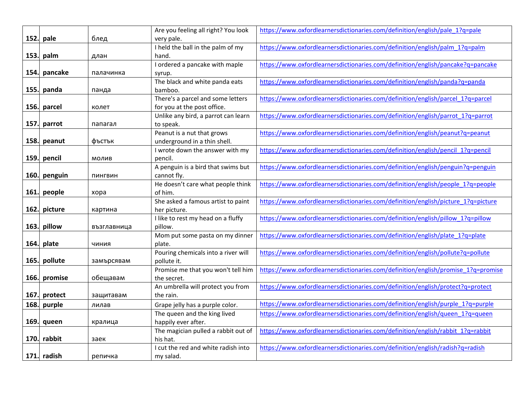|      |             |             | Are you feeling all right? You look | https://www.oxfordlearnersdictionaries.com/definition/english/pale 1?q=pale       |
|------|-------------|-------------|-------------------------------------|-----------------------------------------------------------------------------------|
| 152. | pale        | блед        | very pale.                          |                                                                                   |
|      |             |             | I held the ball in the palm of my   | https://www.oxfordlearnersdictionaries.com/definition/english/palm_1?q=palm       |
|      | 153. palm   | длан        | hand.                               |                                                                                   |
|      |             |             | I ordered a pancake with maple      | https://www.oxfordlearnersdictionaries.com/definition/english/pancake?q=pancake   |
| 154. | pancake     | палачинка   | syrup.                              |                                                                                   |
|      |             |             | The black and white panda eats      | https://www.oxfordlearnersdictionaries.com/definition/english/panda?q=panda       |
|      | 155. panda  | панда       | bamboo.                             |                                                                                   |
|      |             |             | There's a parcel and some letters   | https://www.oxfordlearnersdictionaries.com/definition/english/parcel 1?q=parcel   |
|      | 156. parcel | колет       | for you at the post office.         |                                                                                   |
|      |             |             | Unlike any bird, a parrot can learn | https://www.oxfordlearnersdictionaries.com/definition/english/parrot_1?q=parrot   |
| 157. | parrot      | папагал     | to speak.                           |                                                                                   |
|      |             |             | Peanut is a nut that grows          | https://www.oxfordlearnersdictionaries.com/definition/english/peanut?q=peanut     |
| 158. | peanut      | фъстък      | underground in a thin shell.        |                                                                                   |
|      |             |             | I wrote down the answer with my     | https://www.oxfordlearnersdictionaries.com/definition/english/pencil 1?q=pencil   |
|      | 159. pencil | МОЛИВ       | pencil.                             |                                                                                   |
|      |             |             | A penguin is a bird that swims but  | https://www.oxfordlearnersdictionaries.com/definition/english/penguin?q=penguin   |
| 160. | penguin     | ПИНГВИН     | cannot fly.                         |                                                                                   |
|      |             |             | He doesn't care what people think   | https://www.oxfordlearnersdictionaries.com/definition/english/people 1?q=people   |
|      | 161. people | xopa        | of him.                             |                                                                                   |
|      |             |             | She asked a famous artist to paint  | https://www.oxfordlearnersdictionaries.com/definition/english/picture 1?q=picture |
| 162. | picture     | картина     | her picture.                        |                                                                                   |
|      |             |             | I like to rest my head on a fluffy  | https://www.oxfordlearnersdictionaries.com/definition/english/pillow 1?q=pillow   |
| 163. | pillow      | възглавница | pillow.                             |                                                                                   |
|      |             |             | Mom put some pasta on my dinner     | https://www.oxfordlearnersdictionaries.com/definition/english/plate 1?q=plate     |
| 164. | plate       | чиния       | plate.                              |                                                                                   |
|      |             |             | Pouring chemicals into a river will | https://www.oxfordlearnersdictionaries.com/definition/english/pollute?q=pollute   |
| 165. | pollute     | замърсявам  | pollute it.                         |                                                                                   |
|      |             |             | Promise me that you won't tell him  | https://www.oxfordlearnersdictionaries.com/definition/english/promise 1?q=promise |
| 166. | promise     | обещавам    | the secret.                         |                                                                                   |
|      |             |             | An umbrella will protect you from   | https://www.oxfordlearnersdictionaries.com/definition/english/protect?q=protect   |
| 167. | protect     | защитавам   | the rain.                           |                                                                                   |
| 168. | purple      | лилав       | Grape jelly has a purple color.     | https://www.oxfordlearnersdictionaries.com/definition/english/purple 1?q=purple   |
|      |             |             | The queen and the king lived        | https://www.oxfordlearnersdictionaries.com/definition/english/queen 1?q=queen     |
| 169. | queen       | кралица     | happily ever after.                 |                                                                                   |
|      |             |             | The magician pulled a rabbit out of | https://www.oxfordlearnersdictionaries.com/definition/english/rabbit 1?q=rabbit   |
| 170. | rabbit      | заек        | his hat.                            |                                                                                   |
|      |             |             | I cut the red and white radish into | https://www.oxfordlearnersdictionaries.com/definition/english/radish?q=radish     |
|      | 171. radish | репичка     | my salad.                           |                                                                                   |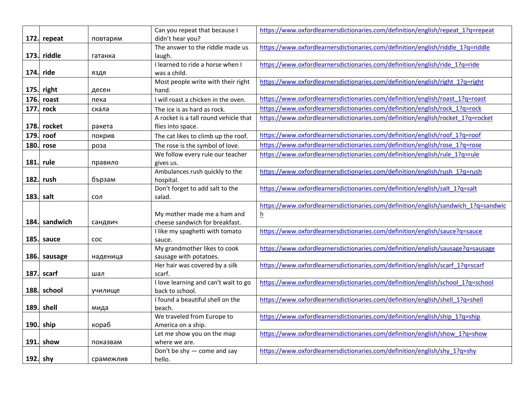|          |          |            | Can you repeat that because I               | https://www.oxfordlearnersdictionaries.com/definition/english/repeat 1?q=repeat    |
|----------|----------|------------|---------------------------------------------|------------------------------------------------------------------------------------|
| 172.     | repeat   | повтарям   | didn't hear you?                            |                                                                                    |
|          | riddle   |            | The answer to the riddle made us            | https://www.oxfordlearnersdictionaries.com/definition/english/riddle 1?q=riddle    |
| 173.     |          | гатанка    | laugh.                                      |                                                                                    |
| 174.     | ride     |            | I learned to ride a horse when I            | https://www.oxfordlearnersdictionaries.com/definition/english/ride 1?q=ride        |
|          |          | яздя       | was a child.                                |                                                                                    |
| 175.     | right    |            | Most people write with their right<br>hand. | https://www.oxfordlearnersdictionaries.com/definition/english/right 1?q=right      |
| 176.     | roast    | десен      |                                             | https://www.oxfordlearnersdictionaries.com/definition/english/roast 1?q=roast      |
|          |          | пека       | I will roast a chicken in the oven.         |                                                                                    |
| 177.     | rock     | скала      | The ice is as hard as rock.                 | https://www.oxfordlearnersdictionaries.com/definition/english/rock 1?q=rock        |
|          |          |            | A rocket is a tall round vehicle that       | https://www.oxfordlearnersdictionaries.com/definition/english/rocket 1?q=rocket    |
| 178.     | rocket   | ракета     | flies into space.                           |                                                                                    |
| 179.     | roof     | покрив     | The cat likes to climb up the roof.         | https://www.oxfordlearnersdictionaries.com/definition/english/roof 1?q=roof        |
| 180      | rose     | роза       | The rose is the symbol of love.             | https://www.oxfordlearnersdictionaries.com/definition/english/rose 1?q=rose        |
|          |          |            | We follow every rule our teacher            | https://www.oxfordlearnersdictionaries.com/definition/english/rule 1?q=rule        |
| 181.     | rule     | правило    | gives us.                                   |                                                                                    |
|          |          |            | Ambulances rush quickly to the              | https://www.oxfordlearnersdictionaries.com/definition/english/rush 1?q=rush        |
| 182.     | rush     | бързам     | hospital.                                   |                                                                                    |
|          |          |            | Don't forget to add salt to the             | https://www.oxfordlearnersdictionaries.com/definition/english/salt 1?q=salt        |
| 183.     | salt     | сол        | salad.                                      |                                                                                    |
|          |          |            |                                             | https://www.oxfordlearnersdictionaries.com/definition/english/sandwich 1?q=sandwic |
| 184.     | sandwich |            | My mother made me a ham and                 | $\underline{h}$                                                                    |
|          |          | сандвич    | cheese sandwich for breakfast.              | https://www.oxfordlearnersdictionaries.com/definition/english/sauce?q=sauce        |
| 185.     | sauce    | <b>COC</b> | I like my spaghetti with tomato             |                                                                                    |
|          |          |            | sauce.<br>My grandmother likes to cook      | https://www.oxfordlearnersdictionaries.com/definition/english/sausage?q=sausage    |
| 186.     | sausage  | наденица   | sausage with potatoes.                      |                                                                                    |
|          |          |            | Her hair was covered by a silk              | https://www.oxfordlearnersdictionaries.com/definition/english/scarf 1?q=scarf      |
| 187.     | scarf    | шал        | scarf.                                      |                                                                                    |
|          |          |            | I love learning and can't wait to go        | https://www.oxfordlearnersdictionaries.com/definition/english/school 1?q=school    |
| 188.     | school   | училище    | back to school.                             |                                                                                    |
|          |          |            | I found a beautiful shell on the            | https://www.oxfordlearnersdictionaries.com/definition/english/shell 1?q=shell      |
| 189.     | shell    | мида       | beach.                                      |                                                                                    |
|          |          |            | We traveled from Europe to                  | https://www.oxfordlearnersdictionaries.com/definition/english/ship 1?q=ship        |
| 190.     | ship     | кораб      | America on a ship.                          |                                                                                    |
|          |          |            | Let me show you on the map                  | https://www.oxfordlearnersdictionaries.com/definition/english/show_1?q=show        |
| 191.     | show     | показвам   | where we are.                               |                                                                                    |
|          |          |            | Don't be shy $-$ come and say               | https://www.oxfordlearnersdictionaries.com/definition/english/shy 1?q=shy          |
| 192. shy |          | срамежлив  | hello.                                      |                                                                                    |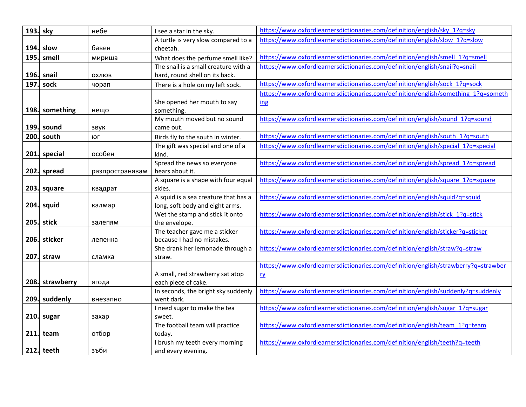| 193. sky |                 | небе            | I see a star in the sky.                       | https://www.oxfordlearnersdictionaries.com/definition/english/sky 1?q=sky           |
|----------|-----------------|-----------------|------------------------------------------------|-------------------------------------------------------------------------------------|
|          |                 |                 | A turtle is very slow compared to a            | https://www.oxfordlearnersdictionaries.com/definition/english/slow 1?q=slow         |
| 194.     | slow            | бавен           | cheetah.                                       |                                                                                     |
| 195.     | smell           | мириша          | What does the perfume smell like?              | https://www.oxfordlearnersdictionaries.com/definition/english/smell 1?q=smell       |
|          |                 |                 | The snail is a small creature with a           | https://www.oxfordlearnersdictionaries.com/definition/english/snail?q=snail         |
|          | $196.$ snail    | ОХЛЮВ           | hard, round shell on its back.                 |                                                                                     |
| 197.     | sock            | чорап           | There is a hole on my left sock.               | https://www.oxfordlearnersdictionaries.com/definition/english/sock 1?q=sock         |
|          |                 |                 |                                                | https://www.oxfordlearnersdictionaries.com/definition/english/something 1?q=someth  |
|          |                 |                 | She opened her mouth to say                    | ing                                                                                 |
| 198.     | something       | нещо            | something.                                     |                                                                                     |
|          |                 |                 | My mouth moved but no sound                    | https://www.oxfordlearnersdictionaries.com/definition/english/sound 1?q=sound       |
| 199.     | sound           | звук            | came out.                                      |                                                                                     |
| 200.     | south           | юг              | Birds fly to the south in winter.              | https://www.oxfordlearnersdictionaries.com/definition/english/south 1?q=south       |
|          |                 |                 | The gift was special and one of a              | https://www.oxfordlearnersdictionaries.com/definition/english/special 1?q=special   |
|          | 201. special    | особен          | kind.                                          |                                                                                     |
|          |                 |                 | Spread the news so everyone                    | https://www.oxfordlearnersdictionaries.com/definition/english/spread 1?q=spread     |
|          | 202. spread     | разпространявам | hears about it.                                |                                                                                     |
|          |                 |                 | A square is a shape with four equal            | https://www.oxfordlearnersdictionaries.com/definition/english/square 1?q=square     |
|          | 203. square     | квадрат         | sides.<br>A squid is a sea creature that has a | https://www.oxfordlearnersdictionaries.com/definition/english/squid?q=squid         |
|          | 204. squid      | калмар          | long, soft body and eight arms.                |                                                                                     |
|          |                 |                 | Wet the stamp and stick it onto                | https://www.oxfordlearnersdictionaries.com/definition/english/stick 1?q=stick       |
|          | 205. stick      | залепям         | the envelope.                                  |                                                                                     |
|          |                 |                 | The teacher gave me a sticker                  | https://www.oxfordlearnersdictionaries.com/definition/english/sticker?q=sticker     |
|          | 206. sticker    | лепенка         | because I had no mistakes.                     |                                                                                     |
|          |                 |                 | She drank her lemonade through a               | https://www.oxfordlearnersdictionaries.com/definition/english/straw?q=straw         |
|          | 207. straw      | сламка          | straw.                                         |                                                                                     |
|          |                 |                 |                                                | https://www.oxfordlearnersdictionaries.com/definition/english/strawberry?q=strawber |
|          |                 |                 | A small, red strawberry sat atop               | $\underline{r}\underline{v}$                                                        |
|          | 208. strawberry | ягода           | each piece of cake.                            |                                                                                     |
|          |                 |                 | In seconds, the bright sky suddenly            | https://www.oxfordlearnersdictionaries.com/definition/english/suddenly?q=suddenly   |
| 209.     | suddenly        | внезапно        | went dark.                                     |                                                                                     |
|          |                 |                 | I need sugar to make the tea                   | https://www.oxfordlearnersdictionaries.com/definition/english/sugar 1?q=sugar       |
|          | $210.$ sugar    | захар           | sweet.                                         |                                                                                     |
|          |                 |                 | The football team will practice                | https://www.oxfordlearnersdictionaries.com/definition/english/team 1?q=team         |
|          | 211. team       | отбор           | today.                                         |                                                                                     |
|          |                 |                 | I brush my teeth every morning                 | https://www.oxfordlearnersdictionaries.com/definition/english/teeth?q=teeth         |
|          | $212.$ teeth    | зъби            | and every evening.                             |                                                                                     |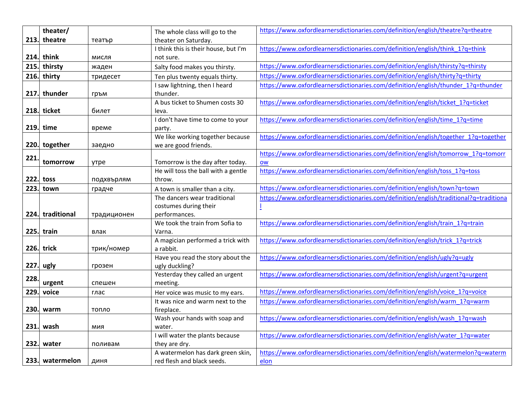|      | theater/        |             | The whole class will go to the         | https://www.oxfordlearnersdictionaries.com/definition/english/theatre?q=theatre        |
|------|-----------------|-------------|----------------------------------------|----------------------------------------------------------------------------------------|
| 213. | theatre         | театър      | theater on Saturday.                   |                                                                                        |
|      |                 |             | I think this is their house, but I'm   | https://www.oxfordlearnersdictionaries.com/definition/english/think 1?q=think          |
| 214. | think           | МИСЛЯ       | not sure.                              |                                                                                        |
| 215. | thirsty         | жаден       | Salty food makes you thirsty.          | https://www.oxfordlearnersdictionaries.com/definition/english/thirsty?q=thirsty        |
| 216. | thirty          | тридесет    | Ten plus twenty equals thirty.         | https://www.oxfordlearnersdictionaries.com/definition/english/thirty?q=thirty          |
|      |                 |             | I saw lightning, then I heard          | https://www.oxfordlearnersdictionaries.com/definition/english/thunder 1?q=thunder      |
| 217. | thunder         | гръм        | thunder.                               |                                                                                        |
|      |                 |             | A bus ticket to Shumen costs 30        | https://www.oxfordlearnersdictionaries.com/definition/english/ticket_1?q=ticket        |
|      | 218. ticket     | билет       | leva.                                  |                                                                                        |
|      |                 |             | I don't have time to come to your      | https://www.oxfordlearnersdictionaries.com/definition/english/time 1?q=time            |
|      | 219. time       | време       | party.                                 |                                                                                        |
|      |                 |             | We like working together because       | https://www.oxfordlearnersdictionaries.com/definition/english/together 1?q=together    |
| 220. | together        | заедно      | we are good friends.                   |                                                                                        |
| 221  |                 |             |                                        | https://www.oxfordlearnersdictionaries.com/definition/english/tomorrow 1?q=tomorr      |
|      | tomorrow        | утре        | Tomorrow is the day after today.       | <b>OW</b>                                                                              |
| 222. | toss            |             | He will toss the ball with a gentle    | https://www.oxfordlearnersdictionaries.com/definition/english/toss 1?q=toss            |
|      |                 | подхвърлям  | throw.                                 | https://www.oxfordlearnersdictionaries.com/definition/english/town?q=town              |
| 223. | town            | градче      | A town is smaller than a city.         |                                                                                        |
|      |                 |             | The dancers wear traditional           | https://www.oxfordlearnersdictionaries.com/definition/english/traditional?q=traditiona |
| 224. | traditional     |             | costumes during their<br>performances. |                                                                                        |
|      |                 | традиционен | We took the train from Sofia to        | https://www.oxfordlearnersdictionaries.com/definition/english/train 1?q=train          |
|      | $225.$ train    | влак        | Varna.                                 |                                                                                        |
|      |                 |             | A magician performed a trick with      | https://www.oxfordlearnersdictionaries.com/definition/english/trick 1?q=trick          |
|      | 226. trick      | трик/номер  | a rabbit.                              |                                                                                        |
|      |                 |             | Have you read the story about the      | https://www.oxfordlearnersdictionaries.com/definition/english/ugly?q=ugly              |
| 227. | ugly            | грозен      | ugly duckling?                         |                                                                                        |
|      |                 |             | Yesterday they called an urgent        | https://www.oxfordlearnersdictionaries.com/definition/english/urgent?q=urgent          |
| 228. | urgent          | спешен      | meeting.                               |                                                                                        |
| 229. | voice           | глас        | Her voice was music to my ears.        | https://www.oxfordlearnersdictionaries.com/definition/english/voice 1?q=voice          |
|      |                 |             | It was nice and warm next to the       | https://www.oxfordlearnersdictionaries.com/definition/english/warm 1?q=warm            |
| 230. | warm            | топло       | fireplace.                             |                                                                                        |
|      |                 |             | Wash your hands with soap and          | https://www.oxfordlearnersdictionaries.com/definition/english/wash 1?q=wash            |
| 231. | wash            | МИЯ         | water.                                 |                                                                                        |
|      |                 |             | I will water the plants because        | https://www.oxfordlearnersdictionaries.com/definition/english/water 1?q=water          |
| 232. | water           | поливам     | they are dry.                          |                                                                                        |
|      |                 |             | A watermelon has dark green skin,      | https://www.oxfordlearnersdictionaries.com/definition/english/watermelon?q=waterm      |
|      | 233. watermelon | ДИНЯ        | red flesh and black seeds.             | elon                                                                                   |